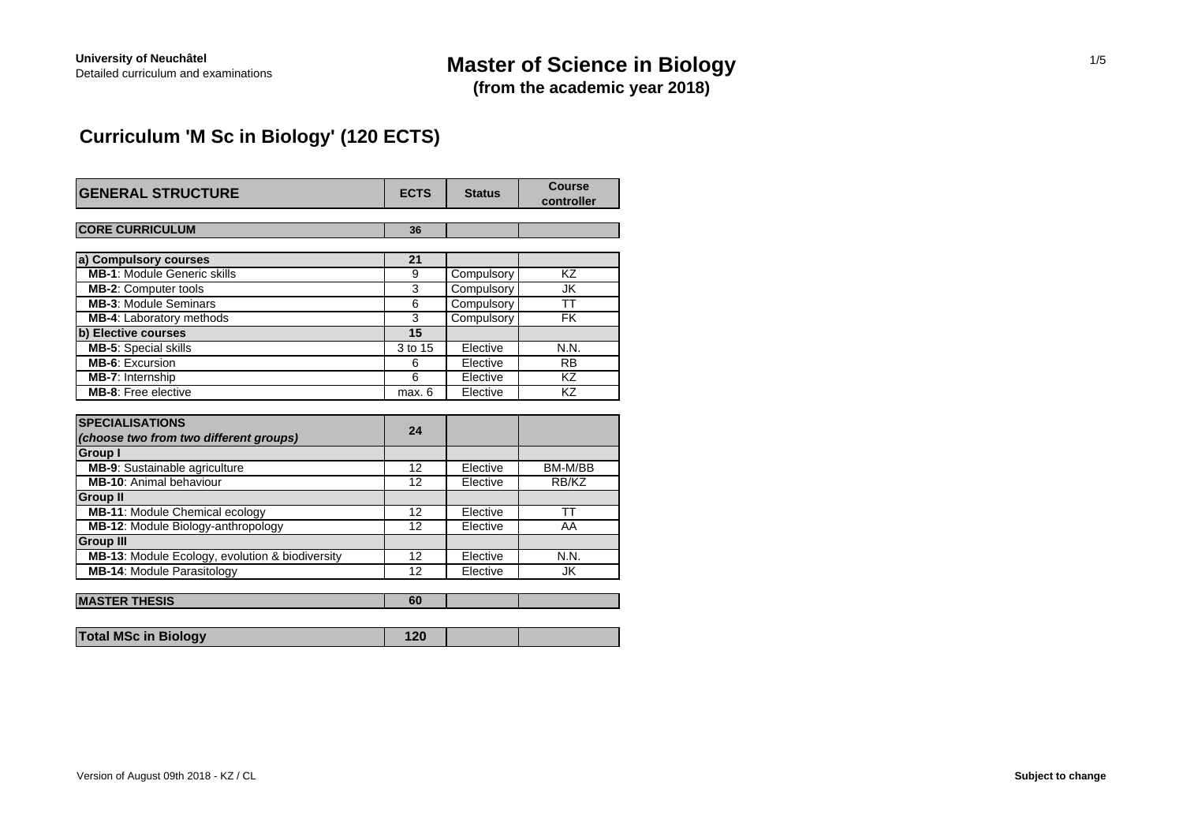# Detailed curriculum and examinations **Master of Science in Biology**

**(from the academic year 2018)**

## **Curriculum 'M Sc in Biology' (120 ECTS)**

| <b>GENERAL STRUCTURE</b>                        | <b>ECTS</b>     | <b>Status</b> | Course<br>controller     |
|-------------------------------------------------|-----------------|---------------|--------------------------|
| <b>CORE CURRICULUM</b>                          | 36              |               |                          |
| a) Compulsory courses                           | 21              |               |                          |
| <b>MB-1: Module Generic skills</b>              | 9               | Compulsory    | KZ                       |
| <b>MB-2: Computer tools</b>                     | 3               | Compulsory    | JK                       |
| <b>MB-3: Module Seminars</b>                    | $\overline{6}$  | Compulsory    | $\overline{\mathsf{TT}}$ |
| MB-4: Laboratory methods                        | 3               | Compulsory    | <b>FK</b>                |
| b) Elective courses                             | $\overline{15}$ |               |                          |
| <b>MB-5: Special skills</b>                     | 3 to 15         | Elective      | N.N.                     |
| <b>MB-6: Excursion</b>                          | 6               | Elective      | <b>RB</b>                |
| MB-7: Internship                                | 6               | Elective      | KZ                       |
| <b>MB-8:</b> Free elective                      | max. 6          | Elective      | KZ                       |
|                                                 |                 |               |                          |
| <b>SPECIALISATIONS</b>                          | 24              |               |                          |
| (choose two from two different groups)          |                 |               |                          |
| Group I                                         |                 |               |                          |
| MB-9: Sustainable agriculture                   | 12              | Elective      | BM-M/BB                  |
| MB-10: Animal behaviour                         | 12              | Elective      | RB/KZ                    |
| <b>Group II</b>                                 |                 |               |                          |
| <b>MB-11: Module Chemical ecology</b>           | 12              | Elective      | <b>TT</b>                |
| MB-12: Module Biology-anthropology              | 12              | Elective      | AA                       |
| <b>Group III</b>                                |                 |               |                          |
| MB-13: Module Ecology, evolution & biodiversity | 12              | Elective      | N.N.                     |
| MB-14: Module Parasitology                      | 12              | Elective      | JK                       |
|                                                 |                 |               |                          |
| <b>MASTER THESIS</b>                            | 60              |               |                          |

|  | <b>Total MSc in Biology</b> |  |  |  |
|--|-----------------------------|--|--|--|
|--|-----------------------------|--|--|--|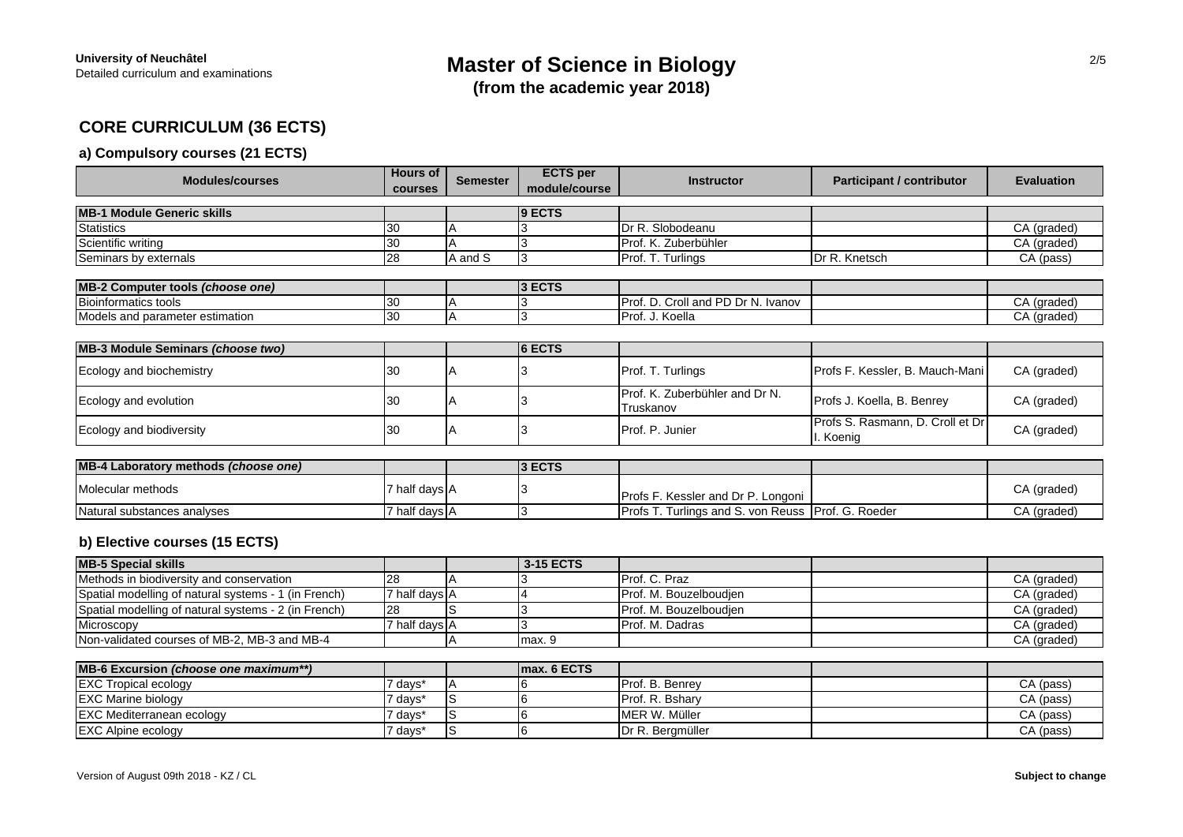### **CORE CURRICULUM (36 ECTS)**

### **a) Compulsory courses (21 ECTS)**

| <b>Modules/courses</b>                                    | <b>Hours of</b><br>courses | <b>Semester</b> | <b>ECTS</b> per<br>module/course | <b>Instructor</b>                                  | <b>Participant / contributor</b>             | <b>Evaluation</b> |
|-----------------------------------------------------------|----------------------------|-----------------|----------------------------------|----------------------------------------------------|----------------------------------------------|-------------------|
|                                                           |                            |                 |                                  |                                                    |                                              |                   |
| <b>MB-1 Module Generic skills</b>                         |                            |                 | 9 ECTS                           |                                                    |                                              |                   |
| Statistics                                                | 30                         |                 |                                  | Dr R. Slobodeanu                                   |                                              | CA (graded)       |
| Scientific writing                                        | 30                         |                 | 3                                | Prof. K. Zuberbühler                               |                                              | CA (graded)       |
| Seminars by externals                                     | 28                         | A and S         | 3                                | Prof. T. Turlings                                  | Dr R. Knetsch                                | CA (pass)         |
| MB-2 Computer tools (choose one)                          |                            |                 | 3 ECTS                           |                                                    |                                              |                   |
| <b>Bioinformatics tools</b>                               | 30                         |                 |                                  | Prof. D. Croll and PD Dr N. Ivanov                 |                                              | CA (graded)       |
| Models and parameter estimation                           | 30                         | A               | 3                                | Prof. J. Koella                                    |                                              | CA (graded)       |
|                                                           |                            |                 |                                  |                                                    |                                              |                   |
| MB-3 Module Seminars (choose two)                         |                            |                 | 6 ECTS                           |                                                    |                                              |                   |
| Ecology and biochemistry                                  | 30                         |                 |                                  | Prof. T. Turlings                                  | Profs F. Kessler, B. Mauch-Mani              | CA (graded)       |
| Ecology and evolution                                     | 30                         |                 |                                  | Prof. K. Zuberbühler and Dr N.<br>Truskanov        | Profs J. Koella, B. Benrey                   | CA (graded)       |
| Ecology and biodiversity                                  | 30                         | ΙA              | IЗ                               | Prof. P. Junier                                    | Profs S. Rasmann, D. Croll et Dr<br>. Koenig | CA (graded)       |
|                                                           |                            |                 | 3 ECTS                           |                                                    |                                              |                   |
| MB-4 Laboratory methods (choose one)                      |                            |                 |                                  |                                                    |                                              |                   |
| Molecular methods                                         | 7 half days A              |                 |                                  | Profs F. Kessler and Dr P. Longoni                 |                                              | CA (graded)       |
| Natural substances analyses                               | 7 half days A              |                 | 3                                | Profs T. Turlings and S. von Reuss Prof. G. Roeder |                                              | CA (graded)       |
| b) Elective courses (15 ECTS)<br><b>ARRIVE CONTRACTOR</b> |                            |                 | $\sqrt{2}$                       |                                                    |                                              |                   |

| <b>MB-5 Special skills</b>                           |                        | 3-15 ECTS |                         |             |
|------------------------------------------------------|------------------------|-----------|-------------------------|-------------|
| Methods in biodiversity and conservation             |                        |           | <b>IProf. C. Praz</b>   | CA (graded) |
| Spatial modelling of natural systems - 1 (in French) | 7 half davs <b>I</b> A |           | Prof. M. Bouzelboudien  | CA (graded) |
| Spatial modelling of natural systems - 2 (in French) | 128                    |           | Prof. M. Bouzelboudien  | CA (graded) |
| Microscopy                                           | 7 half davs <b>I</b> A |           | <b>IProf. M. Dadras</b> | CA (graded) |
| Non-validated courses of MB-2, MB-3 and MB-4         |                        | lmax. 9   |                         | CA (graded) |

| MB-6 Excursion (choose one maximum**) |                |    | Imax. 6 ECTS |                          |           |
|---------------------------------------|----------------|----|--------------|--------------------------|-----------|
| <b>EXC Tropical ecology</b>           | days           |    |              | Prof. B. Benrev          | CA (pass) |
| <b>EXC Marine biology</b>             | ∕ davs'        |    |              | <b>IProf. R. Bsharv</b>  | CA (pass) |
| <b>EXC Mediterranean ecology</b>      | $\prime$ days* | IS |              | MER W. Müller            | CA (pass) |
| <b>EXC Alpine ecology</b>             | / davs*        | 1S |              | <b>IDr R. Beramüller</b> | CA (pass) |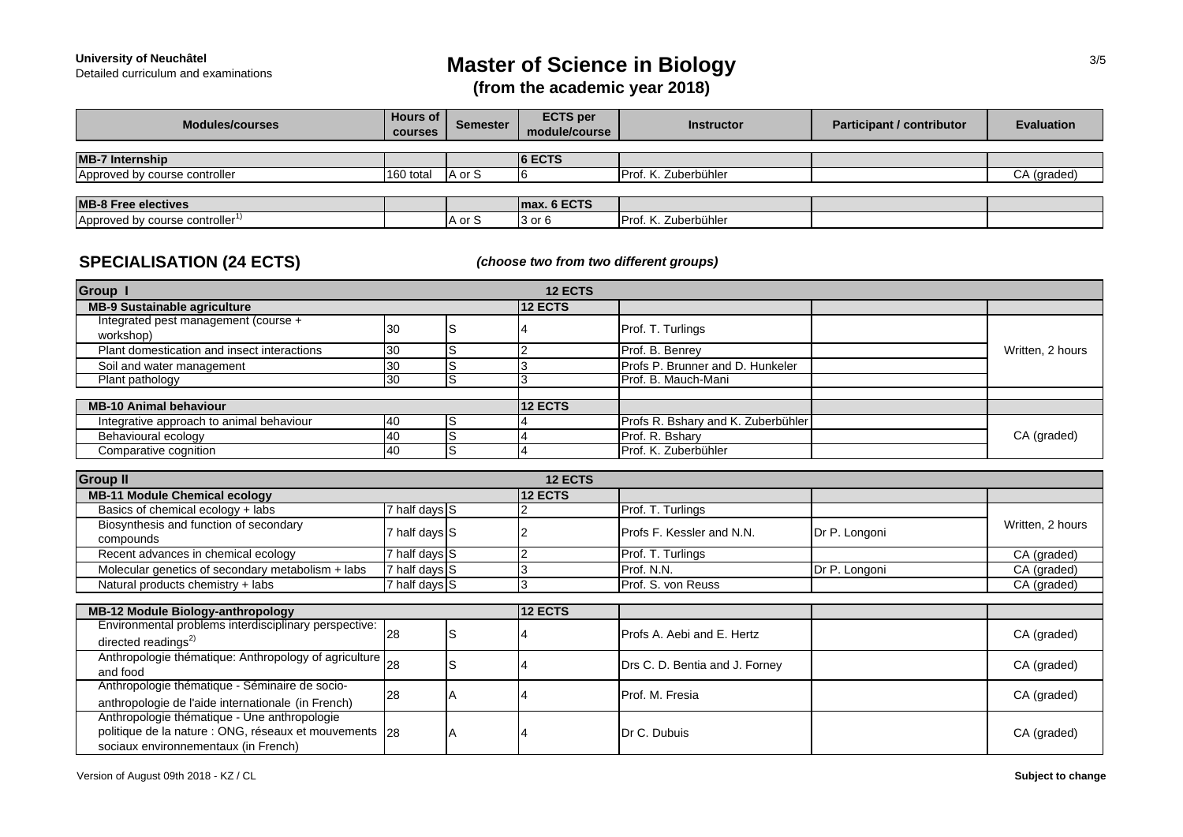# Detailed curriculum and examinations **Master of Science in Biology**

**(from the academic year 2018)**

| <b>Modules/courses</b>                      | <b>Hours of</b><br><b>courses</b> | Semester | <b>ECTS</b> per<br>module/course | <b>Instructor</b>           | <b>Participant / contributor</b> | <b>Evaluation</b> |
|---------------------------------------------|-----------------------------------|----------|----------------------------------|-----------------------------|----------------------------------|-------------------|
|                                             |                                   |          |                                  |                             |                                  |                   |
| <b>MB-7 Internship</b>                      |                                   |          | <b>6 ECTS</b>                    |                             |                                  |                   |
| Approved by course controller               | 160 total                         | IA or S  |                                  | <b>Prof. K. Zuberbühler</b> |                                  | CA (graded)       |
|                                             |                                   |          |                                  |                             |                                  |                   |
| <b>MB-8 Free electives</b>                  |                                   |          | Imax. 6 ECTS                     |                             |                                  |                   |
| Approved by course controller <sup>1)</sup> |                                   | A or S   | 3 or 6                           | Prof. K. Zuberbühler        |                                  |                   |

### **SPECIALISATION (24 ECTS)**

*(choose two from two different groups)*

| Group 1                                           |           | <b>12 ECTS</b> |                                    |                  |
|---------------------------------------------------|-----------|----------------|------------------------------------|------------------|
| <b>MB-9 Sustainable agriculture</b>               |           | <b>12 ECTS</b> |                                    |                  |
| Integrated pest management (course +<br>workshop) | 130       |                | Prof. T. Turlings                  |                  |
| Plant domestication and insect interactions       | 30        |                | Prof. B. Benrey                    | Written, 2 hours |
| Soil and water management                         | <b>30</b> |                | Profs P. Brunner and D. Hunkeler   |                  |
| Plant pathology                                   | 130       |                | Prof. B. Mauch-Mani                |                  |
|                                                   |           |                |                                    |                  |
| <b>MB-10 Animal behaviour</b>                     |           | <b>12 ECTS</b> |                                    |                  |
| Integrative approach to animal behaviour          | 40        |                | Profs R. Bshary and K. Zuberbühler |                  |
| Behavioural ecology                               | 40        |                | Prof. R. Bshary                    | CA (graded)      |
| Comparative cognition                             | <b>40</b> |                | Prof. K. Zuberbühler               |                  |

| <b>Group II</b>                                                                                                                                  |               |  | <b>12 ECTS</b> |                                  |               |                  |  |  |
|--------------------------------------------------------------------------------------------------------------------------------------------------|---------------|--|----------------|----------------------------------|---------------|------------------|--|--|
| <b>MB-11 Module Chemical ecology</b>                                                                                                             |               |  | 12 ECTS        |                                  |               |                  |  |  |
| Basics of chemical ecology + labs                                                                                                                | 7 half days S |  |                | Prof. T. Turlings                |               |                  |  |  |
| Biosynthesis and function of secondary<br>compounds                                                                                              | half days S   |  |                | <b>Profs F. Kessler and N.N.</b> | Dr P. Longoni | Written, 2 hours |  |  |
| Recent advances in chemical ecology                                                                                                              | 7 half days S |  |                | Prof. T. Turlings                |               | CA (graded)      |  |  |
| Molecular genetics of secondary metabolism + labs                                                                                                | 7 half days S |  |                | Prof. N.N.                       | Dr P. Longoni | CA (graded)      |  |  |
| Natural products chemistry + labs                                                                                                                | 7 half days S |  |                | Prof. S. von Reuss               |               | CA (graded)      |  |  |
|                                                                                                                                                  |               |  |                |                                  |               |                  |  |  |
| <b>MB-12 Module Biology-anthropology</b>                                                                                                         |               |  | <b>12 ECTS</b> |                                  |               |                  |  |  |
| Environmental problems interdisciplinary perspective:<br>directed readings $^{2)}$                                                               | 128           |  |                | Profs A. Aebi and E. Hertz       |               | CA (graded)      |  |  |
| Anthropologie thématique: Anthropology of agriculture   28<br>and food                                                                           |               |  |                | Drs C. D. Bentia and J. Forney   |               | CA (graded)      |  |  |
| Anthropologie thématique - Séminaire de socio-<br>anthropologie de l'aide internationale (in French)                                             | 28            |  |                | Prof. M. Fresia                  |               | CA (graded)      |  |  |
| Anthropologie thématique - Une anthropologie<br>politique de la nature : ONG, réseaux et mouvements   28<br>sociaux environnementaux (in French) |               |  |                | Dr C. Dubuis                     |               | CA (graded)      |  |  |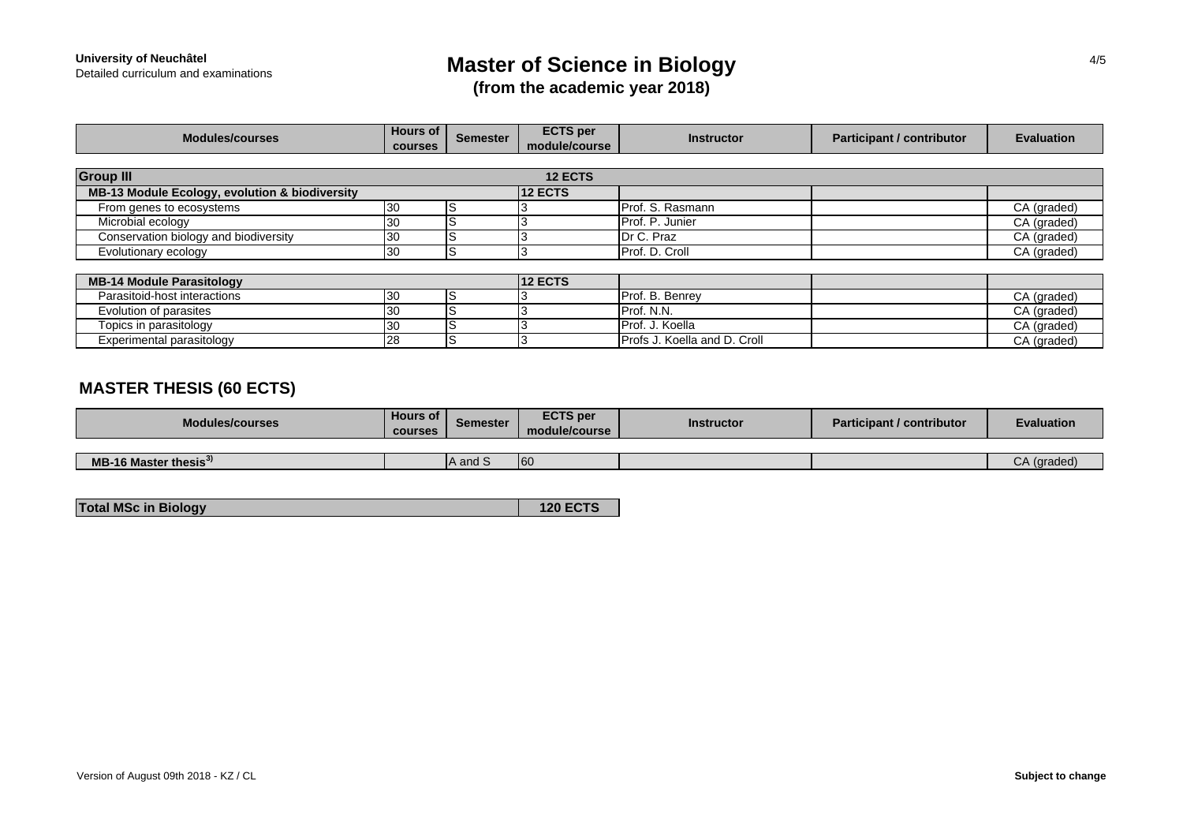# Detailed curriculum and examinations **Master of Science in Biology**

**(from the academic year 2018)**

| <b>Modules/courses</b>                         | <b>Hours of</b><br><b>courses</b> | <b>Semester</b> | <b>ECTS</b> per<br>module/course | <b>Instructor</b>            | <b>Participant / contributor</b> | <b>Evaluation</b> |
|------------------------------------------------|-----------------------------------|-----------------|----------------------------------|------------------------------|----------------------------------|-------------------|
|                                                |                                   |                 |                                  |                              |                                  |                   |
| <b>Group III</b>                               |                                   |                 | <b>12 ECTS</b>                   |                              |                                  |                   |
| MB-13 Module Ecology, evolution & biodiversity |                                   |                 | <b>12 ECTS</b>                   |                              |                                  |                   |
| From genes to ecosystems                       | 130                               |                 |                                  | Prof. S. Rasmann             |                                  | CA (graded)       |
| Microbial ecology                              | <b>30</b>                         |                 |                                  | Prof. P. Junier              |                                  | CA (graded)       |
| Conservation biology and biodiversity          | <b>30</b>                         |                 |                                  | Dr C. Praz                   |                                  | CA (graded)       |
| Evolutionary ecology                           | 30                                |                 |                                  | Prof. D. Croll               |                                  | CA (graded)       |
|                                                |                                   |                 |                                  |                              |                                  |                   |
| <b>MB-14 Module Parasitology</b>               |                                   |                 | <b>12 ECTS</b>                   |                              |                                  |                   |
| Parasitoid-host interactions                   | 30                                | IS              |                                  | Prof. B. Benrey              |                                  | CA (graded)       |
| Evolution of parasites                         | 30                                | ΙS              |                                  | Prof. N.N.                   |                                  | CA (graded)       |
| Topics in parasitology                         | 130                               | ΙS              |                                  | Prof. J. Koella              |                                  | CA (graded)       |
| Experimental parasitology                      | 28                                |                 |                                  | Profs J. Koella and D. Croll |                                  | CA (graded)       |

## **MASTER THESIS (60 ECTS)**

| <b>Modules/courses</b>            | <b>Hours of</b><br><b>courses</b> | <b>Semester</b> | <b>ECTS</b> per<br>module/course | Instructor | <b>Participant / contributor</b> | <b>Evaluation</b> |
|-----------------------------------|-----------------------------------|-----------------|----------------------------------|------------|----------------------------------|-------------------|
|                                   |                                   |                 |                                  |            |                                  |                   |
| MB-16 Master thesis <sup>37</sup> |                                   | A and S         | 60                               |            |                                  | $CA$ (graded)     |

**120 ECTS**

**Total MSc in Biology**